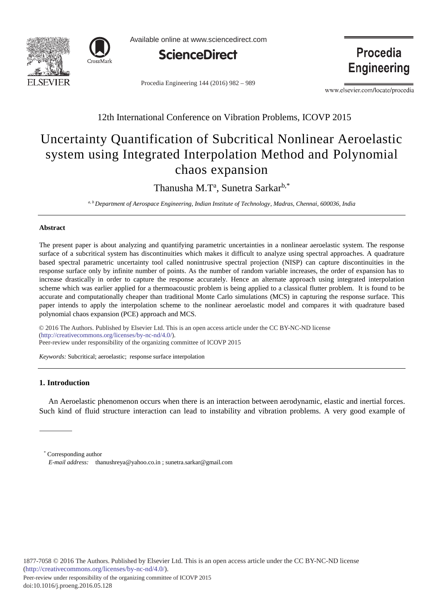



Available online at www.sciencedirect.com



Procedia Engineering 144 (2016) 982 - 989

Procedia **Engineering** 

www.elsevier.com/locate/procedia

# 12th International Conference on Vibration Problems, ICOVP 2015

# Uncertainty Quantification of Subcritical Nonlinear Aeroelastic system using Integrated Interpolation Method and Polynomial chaos expansion

Thanusha M.T<sup>a</sup>, Sunetra Sarkar<sup>b,\*</sup>

*a, b Department of Aerospace Engineering, Indian Institute of Technology, Madras, Chennai, 600036, India*

# **Abstract**

The present paper is about analyzing and quantifying parametric uncertainties in a nonlinear aeroelastic system. The response surface of a subcritical system has discontinuities which makes it difficult to analyze using spectral approaches. A quadrature based spectral parametric uncertainty tool called nonintrusive spectral projection (NISP) can capture discontinuities in the response surface only by infinite number of points. As the number of random variable increases, the order of expansion has to increase drastically in order to capture the response accurately. Hence an alternate approach using integrated interpolation scheme which was earlier applied for a thermoacoustic problem is being applied to a classical flutter problem. It is found to be accurate and computationally cheaper than traditional Monte Carlo simulations (MCS) in capturing the response surface. This paper intends to apply the interpolation scheme to the nonlinear aeroelastic model and compares it with quadrature based polynomial chaos expansion (PCE) approach and MCS.

© 2016 The Authors. Published by Elsevier Ltd. (http://creativecommons.org/licenses/by-nc-nd/4.0/). Peer-review under responsibility of the organizing committee of ICOVP 2015. Peer-review under responsibility of the organizing committee of ICOVP 2015© 2016 The Authors. Published by Elsevier Ltd. This is an open access article under the CC BY-NC-ND license

*Keywords:* Subcritical; aeroelastic; response surface interpolation

# **1. Introduction**

An Aeroelastic phenomenon occurs when there is an interaction between aerodynamic, elastic and inertial forces. Such kind of fluid structure interaction can lead to instability and vibration problems. A very good example of

<sup>\*</sup> Corresponding author *E-mail address:* thanushreya@yahoo.co.in ; sunetra.sarkar@gmail.com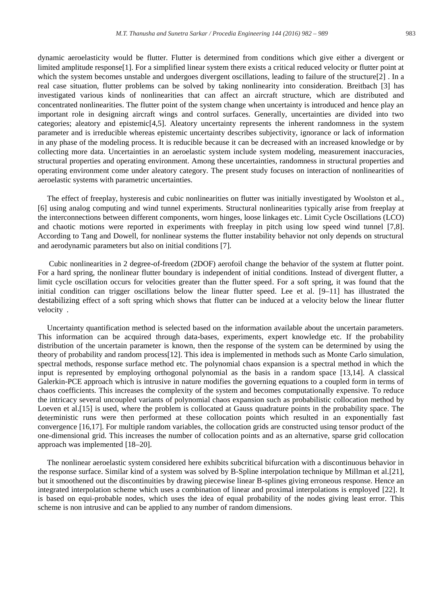dynamic aeroelasticity would be flutter. Flutter is determined from conditions which give either a divergent or limited amplitude response[1]. For a simplified linear system there exists a critical reduced velocity or flutter point at which the system becomes unstable and undergoes divergent oscillations, leading to failure of the structure<sup>[2]</sup>. In a real case situation, flutter problems can be solved by taking nonlinearity into consideration. Breitbach [3] has investigated various kinds of nonlinearities that can affect an aircraft structure, which are distributed and concentrated nonlinearities. The flutter point of the system change when uncertainty is introduced and hence play an important role in designing aircraft wings and control surfaces. Generally, uncertainties are divided into two categories; aleatory and epistemic[4,5]. Aleatory uncertainty represents the inherent randomness in the system parameter and is irreducible whereas epistemic uncertainty describes subjectivity, ignorance or lack of information in any phase of the modeling process. It is reducible because it can be decreased with an increased knowledge or by collecting more data. Uncertainties in an aeroelastic system include system modeling, measurement inaccuracies, structural properties and operating environment. Among these uncertainties, randomness in structural properties and operating environment come under aleatory category. The present study focuses on interaction of nonlinearities of aeroelastic systems with parametric uncertainties.

The effect of freeplay, hysteresis and cubic nonlinearities on flutter was initially investigated by Woolston et al., [6] using analog computing and wind tunnel experiments. Structural nonlinearities typically arise from freeplay at the interconnections between different components, worn hinges, loose linkages etc. Limit Cycle Oscillations (LCO) and chaotic motions were reported in experiments with freeplay in pitch using low speed wind tunnel [7,8]. According to Tang and Dowell, for nonlinear systems the flutter instability behavior not only depends on structural and aerodynamic parameters but also on initial conditions [7].

Cubic nonlinearities in 2 degree-of-freedom (2DOF) aerofoil change the behavior of the system at flutter point. For a hard spring, the nonlinear flutter boundary is independent of initial conditions. Instead of divergent flutter, a limit cycle oscillation occurs for velocities greater than the flutter speed. For a soft spring, it was found that the initial condition can trigger oscillations below the linear flutter speed. Lee et al. [9–11] has illustrated the destabilizing effect of a soft spring which shows that flutter can be induced at a velocity below the linear flutter velocity .

Uncertainty quantification method is selected based on the information available about the uncertain parameters. This information can be acquired through data-bases, experiments, expert knowledge etc. If the probability distribution of the uncertain parameter is known, then the response of the system can be determined by using the theory of probability and random process[12]. This idea is implemented in methods such as Monte Carlo simulation, spectral methods, response surface method etc. The polynomial chaos expansion is a spectral method in which the input is represented by employing orthogonal polynomial as the basis in a random space [13,14]. A classical Galerkin-PCE approach which is intrusive in nature modifies the governing equations to a coupled form in terms of chaos coefficients. This increases the complexity of the system and becomes computationally expensive. To reduce the intricacy several uncoupled variants of polynomial chaos expansion such as probabilistic collocation method by Loeven et al.[15] is used, where the problem is collocated at Gauss quadrature points in the probability space. The deterministic runs were then performed at these collocation points which resulted in an exponentially fast convergence [16,17]. For multiple random variables, the collocation grids are constructed using tensor product of the one-dimensional grid. This increases the number of collocation points and as an alternative, sparse grid collocation approach was implemented [18–20].

The nonlinear aeroelastic system considered here exhibits subcritical bifurcation with a discontinuous behavior in the response surface. Similar kind of a system was solved by B-Spline interpolation technique by Millman et al.[21], but it smoothened out the discontinuities by drawing piecewise linear B-splines giving erroneous response. Hence an integrated interpolation scheme which uses a combination of linear and proximal interpolations is employed [22]. It is based on equi-probable nodes, which uses the idea of equal probability of the nodes giving least error. This scheme is non intrusive and can be applied to any number of random dimensions.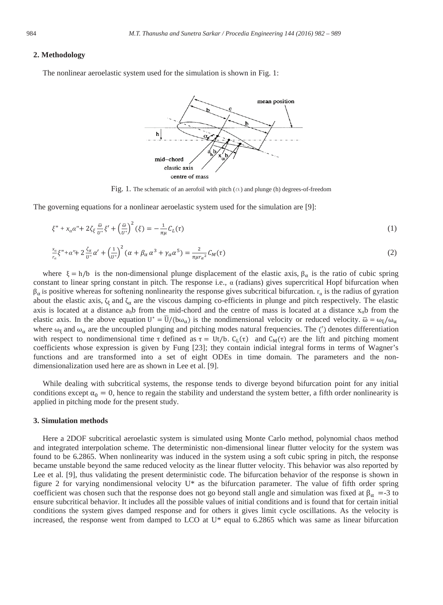#### **2. Methodology**

The nonlinear aeroelastic system used for the simulation is shown in Fig. 1:



Fig. 1. The schematic of an aerofoil with pitch  $(\alpha)$  and plunge (h) degrees-of-freedom

The governing equations for a nonlinear aeroelastic system used for the simulation are [9]:

$$
\xi'' + x_a \alpha'' + 2\zeta_{\xi} \frac{\bar{\omega}}{U^*} \xi' + \left(\frac{\bar{\omega}}{U^*}\right)^2 (\xi) = -\frac{1}{\pi\mu} C_L(\tau)
$$
\n(1)

$$
\frac{x_{\alpha}}{r_{\alpha}}\xi^{\prime\prime}+\alpha^{\prime\prime}+2\frac{\zeta_{\alpha}}{U^{*}}\alpha^{\prime}+\left(\frac{1}{U^{*}}\right)^{2}\left(\alpha+\beta_{\alpha}\alpha^{3}+\gamma_{\alpha}\alpha^{5}\right)=\frac{2}{\pi\mu r_{\alpha}^{2}}C_{M}(\tau)
$$
\n(2)

where  $\xi = h/b$  is the non-dimensional plunge displacement of the elastic axis,  $\beta_{\alpha}$  is the ratio of cubic spring constant to linear spring constant in pitch. The response i.e.,  $\alpha$  (radians) gives supercritical Hopf bifurcation when  $\beta_{\alpha}$  is positive whereas for softening nonlinearity the response gives subcritical bifurcation.  $r_{\alpha}$  is the radius of gyration about the elastic axis,  $\zeta_{\xi}$  and  $\zeta_{\alpha}$  are the viscous damping co-efficients in plunge and pitch respectively. The elastic axis is located at a distance a<sub>h</sub>b from the mid-chord and the centre of mass is located at a distance  $x_a$ b from the elastic axis. In the above equation  $U^* = \overline{U}/(b\omega_\alpha)$  is the nondimensional velocity or reduced velocity.  $\overline{\omega} = \omega_\xi/\omega_\alpha$ where  $\omega_{\rm g}$  and  $\omega_{\alpha}$  are the uncoupled plunging and pitching modes natural frequencies. The (') denotes differentiation with respect to nondimensional time  $\tau$  defined as  $\tau = Ut/b$ .  $C_L(\tau)$  and  $C_M(\tau)$  are the lift and pitching moment coefficients whose expression is given by Fung [23]; they contain indicial integral forms in terms of Wagner's functions and are transformed into a set of eight ODEs in time domain. The parameters and the nondimensionalization used here are as shown in Lee et al. [9].

While dealing with subcritical systems, the response tends to diverge beyond bifurcation point for any initial conditions except  $\alpha_0 = 0$ , hence to regain the stability and understand the system better, a fifth order nonlinearity is applied in pitching mode for the present study.

### **3. Simulation methods**

Here a 2DOF subcritical aeroelastic system is simulated using Monte Carlo method, polynomial chaos method and integrated interpolation scheme. The deterministic non-dimensional linear flutter velocity for the system was found to be 6.2865. When nonlinearity was induced in the system using a soft cubic spring in pitch, the response became unstable beyond the same reduced velocity as the linear flutter velocity. This behavior was also reported by Lee et al. [9], thus validating the present deterministic code. The bifurcation behavior of the response is shown in figure 2 for varying nondimensional velocity U\* as the bifurcation parameter. The value of fifth order spring coefficient was chosen such that the response does not go beyond stall angle and simulation was fixed at  $\beta_{\alpha} = -3$  to ensure subcritical behavior. It includes all the possible values of initial conditions and is found that for certain initial conditions the system gives damped response and for others it gives limit cycle oscillations. As the velocity is increased, the response went from damped to LCO at U\* equal to 6.2865 which was same as linear bifurcation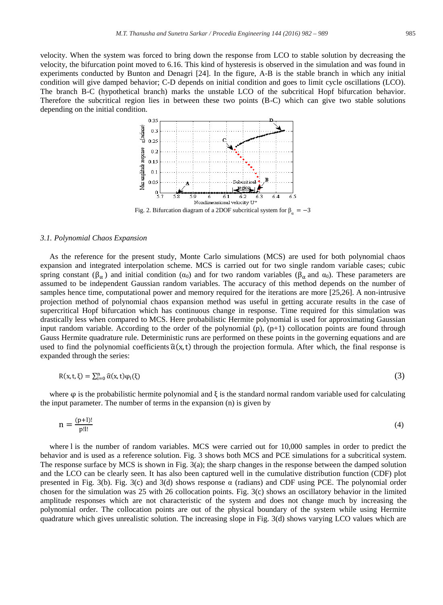velocity. When the system was forced to bring down the response from LCO to stable solution by decreasing the velocity, the bifurcation point moved to 6.16. This kind of hysteresis is observed in the simulation and was found in experiments conducted by Bunton and Denagri [24]. In the figure, A-B is the stable branch in which any initial condition will give damped behavior; C-D depends on initial condition and goes to limit cycle oscillations (LCO). The branch B-C (hypothetical branch) marks the unstable LCO of the subcritical Hopf bifurcation behavior. Therefore the subcritical region lies in between these two points (B-C) which can give two stable solutions depending on the initial condition.



Fig. 2. Bifurcation diagram of a 2DOF subcritical system for  $\beta_{\alpha} = -3$ 

#### *3.1. Polynomial Chaos Expansion*

As the reference for the present study, Monte Carlo simulations (MCS) are used for both polynomial chaos expansion and integrated interpolation scheme. MCS is carried out for two single random variable cases; cubic spring constant ( $\beta_{\alpha}$ ) and initial condition ( $\alpha_{0}$ ) and for two random variables ( $\beta_{\alpha}$  and  $\alpha_{0}$ ). These parameters are assumed to be independent Gaussian random variables. The accuracy of this method depends on the number of samples hence time, computational power and memory required for the iterations are more [25,26]. A non-intrusive projection method of polynomial chaos expansion method was useful in getting accurate results in the case of supercritical Hopf bifurcation which has continuous change in response. Time required for this simulation was drastically less when compared to MCS. Here probabilistic Hermite polynomial is used for approximating Gaussian input random variable. According to the order of the polynomial  $(p)$ ,  $(p+1)$  collocation points are found through Gauss Hermite quadrature rule. Deterministic runs are performed on these points in the governing equations and are used to find the polynomial coefficients  $\hat{\alpha}(x, t)$  through the projection formula. After which, the final response is expanded through the series:

$$
R(x, t, \xi) = \sum_{i=0}^{n} \widehat{\alpha}(x, t) \varphi_i(\xi)
$$
\n(3)

where  $\varphi$  is the probabilistic hermite polynomial and  $\xi$  is the standard normal random variable used for calculating the input parameter. The number of terms in the expansion (n) is given by

$$
n = \frac{(p+1)!}{p!!!}
$$
 (4)

where I is the number of random variables. MCS were carried out for 10,000 samples in order to predict the behavior and is used as a reference solution. Fig. 3 shows both MCS and PCE simulations for a subcritical system. The response surface by MCS is shown in Fig. 3(a); the sharp changes in the response between the damped solution and the LCO can be clearly seen. It has also been captured well in the cumulative distribution function (CDF) plot presented in Fig. 3(b). Fig. 3(c) and 3(d) shows response  $\alpha$  (radians) and CDF using PCE. The polynomial order chosen for the simulation was 25 with 26 collocation points. Fig. 3(c) shows an oscillatory behavior in the limited amplitude responses which are not characteristic of the system and does not change much by increasing the polynomial order. The collocation points are out of the physical boundary of the system while using Hermite quadrature which gives unrealistic solution. The increasing slope in Fig. 3(d) shows varying LCO values which are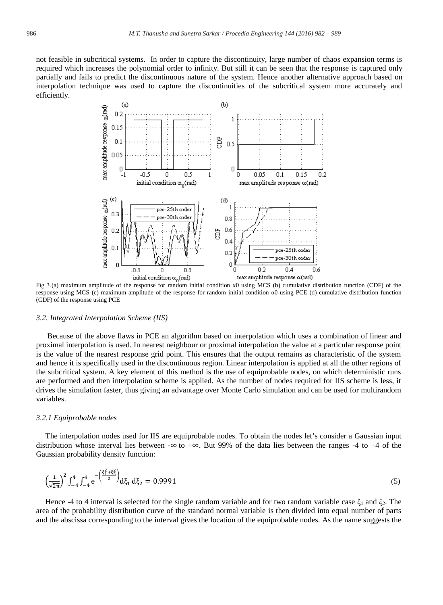not feasible in subcritical systems. In order to capture the discontinuity, large number of chaos expansion terms is required which increases the polynomial order to infinity. But still it can be seen that the response is captured only partially and fails to predict the discontinuous nature of the system. Hence another alternative approach based on interpolation technique was used to capture the discontinuities of the subcritical system more accurately and efficiently.



Fig 3.(a) maximum amplitude of the response for random initial condition α0 using MCS (b) cumulative distribution function (CDF) of the response using MCS (c) maximum amplitude of the response for random initial condition α0 using PCE (d) cumulative distribution function (CDF) of the response using PCE

#### *3.2. Integrated Interpolation Scheme (IIS)*

Because of the above flaws in PCE an algorithm based on interpolation which uses a combination of linear and proximal interpolation is used. In nearest neighbour or proximal interpolation the value at a particular response point is the value of the nearest response grid point. This ensures that the output remains as characteristic of the system and hence it is specifically used in the discontinuous region. Linear interpolation is applied at all the other regions of the subcritical system. A key element of this method is the use of equiprobable nodes, on which deterministic runs are performed and then interpolation scheme is applied. As the number of nodes required for IIS scheme is less, it drives the simulation faster, thus giving an advantage over Monte Carlo simulation and can be used for multirandom variables.

#### *3.2.1 Equiprobable nodes*

The interpolation nodes used for IIS are equiprobable nodes. To obtain the nodes let's consider a Gaussian input distribution whose interval lies between  $-\infty$  to  $+\infty$ . But 99% of the data lies between the ranges -4 to +4 of the Gaussian probability density function:

$$
\left(\frac{1}{\sqrt{2\pi}}\right)^2 \int_{-4}^4 \int_{-4}^4 e^{-\left(\frac{\xi_1^2 + \xi_2^2}{2}\right)} d\xi_1 d\xi_2 = 0.9991
$$
\n<sup>(5)</sup>

Hence -4 to 4 interval is selected for the single random variable and for two random variable case  $\xi_1$  and  $\xi_2$ . The area of the probability distribution curve of the standard normal variable is then divided into equal number of parts and the abscissa corresponding to the interval gives the location of the equiprobable nodes. As the name suggests the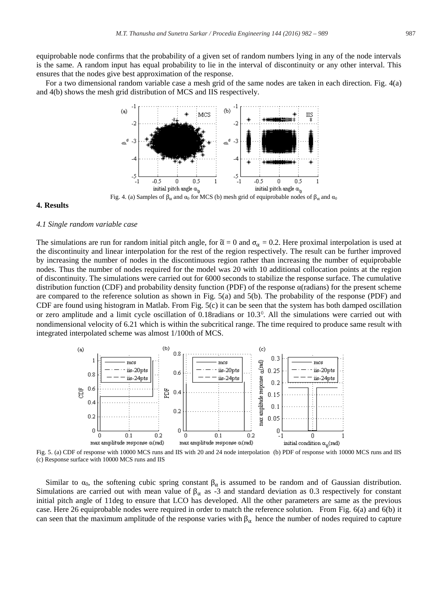equiprobable node confirms that the probability of a given set of random numbers lying in any of the node intervals is the same. A random input has equal probability to lie in the interval of discontinuity or any other interval. This ensures that the nodes give best approximation of the response.

For a two dimensional random variable case a mesh grid of the same nodes are taken in each direction. Fig. 4(a) and 4(b) shows the mesh grid distribution of MCS and IIS respectively.



Fig. 4. (a) Samples of  $\beta_{\alpha}$  and  $\alpha_0$  for MCS (b) mesh grid of equiprobable nodes of  $\beta_{\alpha}$  and  $\alpha_0$ 

# **4. Results**

#### *4.1 Single random variable case*

The simulations are run for random initial pitch angle, for  $\tilde{\alpha} = 0$  and  $\sigma_{\alpha} = 0.2$ . Here proximal interpolation is used at the discontinuity and linear interpolation for the rest of the region respectively. The result can be further improved by increasing the number of nodes in the discontinuous region rather than increasing the number of equiprobable nodes. Thus the number of nodes required for the model was 20 with 10 additional collocation points at the region of discontinuity. The simulations were carried out for 6000 seconds to stabilize the response surface. The cumulative distribution function (CDF) and probability density function (PDF) of the response α(radians) for the present scheme are compared to the reference solution as shown in Fig. 5(a) and 5(b). The probability of the response (PDF) and CDF are found using histogram in Matlab. From Fig. 5(c) it can be seen that the system has both damped oscillation or zero amplitude and a limit cycle oscillation of 0.18radians or 10.3<sup>0</sup>. All the simulations were carried out with nondimensional velocity of 6.21 which is within the subcritical range. The time required to produce same result with integrated interpolated scheme was almost 1/100th of MCS.



Fig. 5. (a) CDF of response with 10000 MCS runs and IIS with 20 and 24 node interpolation (b) PDF of response with 10000 MCS runs and IIS (c) Response surface with 10000 MCS runs and IIS

Similar to  $\alpha_0$ , the softening cubic spring constant  $\beta_\alpha$  is assumed to be random and of Gaussian distribution. Simulations are carried out with mean value of  $\beta_{\alpha}$  as -3 and standard deviation as 0.3 respectively for constant initial pitch angle of 11deg to ensure that LCO has developed. All the other parameters are same as the previous case. Here 26 equiprobable nodes were required in order to match the reference solution. From Fig. 6(a) and 6(b) it can seen that the maximum amplitude of the response varies with  $\beta_{\alpha}$  hence the number of nodes required to capture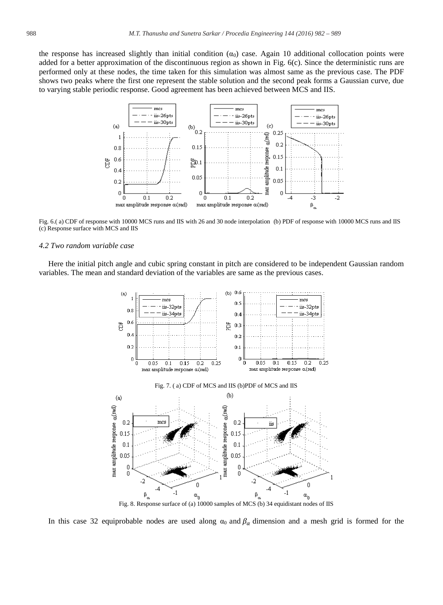the response has increased slightly than initial condition ( $\alpha_0$ ) case. Again 10 additional collocation points were added for a better approximation of the discontinuous region as shown in Fig. 6(c). Since the deterministic runs are performed only at these nodes, the time taken for this simulation was almost same as the previous case. The PDF shows two peaks where the first one represent the stable solution and the second peak forms a Gaussian curve, due to varying stable periodic response. Good agreement has been achieved between MCS and IIS.



Fig. 6.( a) CDF of response with 10000 MCS runs and IIS with 26 and 30 node interpolation (b) PDF of response with 10000 MCS runs and IIS (c) Response surface with MCS and IIS

#### *4.2 Two random variable case*

Here the initial pitch angle and cubic spring constant in pitch are considered to be independent Gaussian random variables. The mean and standard deviation of the variables are same as the previous cases.



In this case 32 equiprobable nodes are used along  $\alpha_0$  and  $\beta_\alpha$  dimension and a mesh grid is formed for the